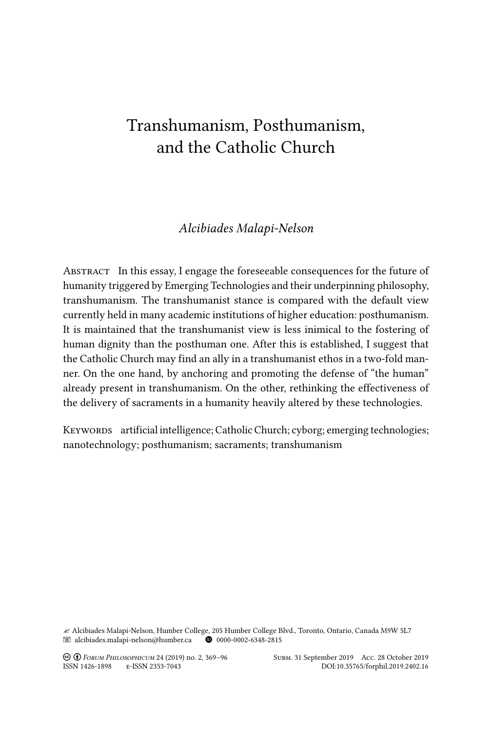# Transhumanism, Posthumanism, and the Catholic Church

## *Alcibiades Malapi-Nelson*

ABSTRACT In this essay, I engage the foreseeable consequences for the future of humanity triggered by Emerging Technologies and their underpinning philosophy, transhumanism. The transhumanist stance is compared with the default view currently held in many academic institutions of higher education: posthumanism. It is maintained that the transhumanist view is less inimical to the fostering of human dignity than the posthuman one. After this is established, I suggest that the Catholic Church may find an ally in a transhumanist ethos in a two-fold manner. On the one hand, by anchoring and promoting the defense of "the human" already present in transhumanism. On the other, rethinking the effectiveness of the delivery of sacraments in a humanity heavily altered by these technologies.

KEYWORDS artificial intelligence; Catholic Church; cyborg; emerging technologies; nanotechnology; posthumanism; sacraments; transhumanism

" Alcibiades Malapi-Nelson, Humber College, 205 Humber College Blvd., Toronto, Ontario, Canada M9W 5L7 alcibiades.malapi-nelson@humber.ca B 0000-0002-6348-2815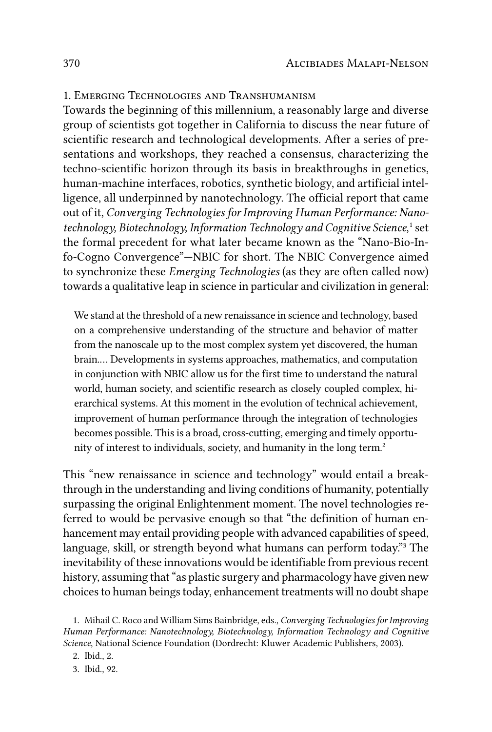## 1. Emerging Technologies and Transhumanism

Towards the beginning of this millennium, a reasonably large and diverse group of scientists got together in California to discuss the near future of scientific research and technological developments. After a series of presentations and workshops, they reached a consensus, characterizing the techno-scientific horizon through its basis in breakthroughs in genetics, human-machine interfaces, robotics, synthetic biology, and artificial intelligence, all underpinned by nanotechnology. The official report that came out of it, *Converging Technologies for Improving Human Performance: Nano*technology, Biotechnology, Information Technology and Cognitive Science,<sup>1</sup> set the formal precedent for what later became known as the "Nano-Bio-Info-Cogno Convergence"—NBIC for short. The NBIC Convergence aimed to synchronize these *Emerging Technologies* (as they are often called now) towards a qualitative leap in science in particular and civilization in general:

We stand at the threshold of a new renaissance in science and technology, based on a comprehensive understanding of the structure and behavior of matter from the nanoscale up to the most complex system yet discovered, the human brain.… Developments in systems approaches, mathematics, and computation in conjunction with NBIC allow us for the first time to understand the natural world, human society, and scientific research as closely coupled complex, hierarchical systems. At this moment in the evolution of technical achievement, improvement of human performance through the integration of technologies becomes possible. This is a broad, cross-cutting, emerging and timely opportunity of interest to individuals, society, and humanity in the long term.<sup>2</sup>

This "new renaissance in science and technology" would entail a breakthrough in the understanding and living conditions of humanity, potentially surpassing the original Enlightenment moment. The novel technologies referred to would be pervasive enough so that "the definition of human enhancement may entail providing people with advanced capabilities of speed, language, skill, or strength beyond what humans can perform today."3 The inevitability of these innovations would be identifiable from previous recent history, assuming that "as plastic surgery and pharmacology have given new choices to human beings today, enhancement treatments will no doubt shape

<sup>1.</sup> Mihail C. Roco and William Sims Bainbridge, eds., *Converging Technologies for Improving Human Performance: Nanotechnology, Biotechnology, Information Technology and Cognitive Science*, National Science Foundation (Dordrecht: Kluwer Academic Publishers, 2003).

<sup>2.</sup> Ibid., 2.

<sup>3.</sup> Ibid., 92.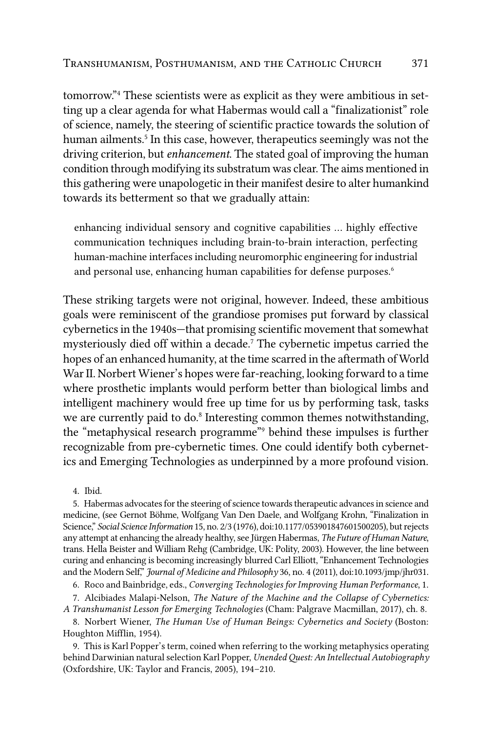tomorrow."4 These scientists were as explicit as they were ambitious in setting up a clear agenda for what Habermas would call a "finalizationist" role of science, namely, the steering of scientific practice towards the solution of human ailments.5 In this case, however, therapeutics seemingly was not the driving criterion, but *enhancement*. The stated goal of improving the human condition through modifying its substratum was clear. The aims mentioned in this gathering were unapologetic in their manifest desire to alter humankind towards its betterment so that we gradually attain:

enhancing individual sensory and cognitive capabilities … highly effective communication techniques including brain-to-brain interaction, perfecting human-machine interfaces including neuromorphic engineering for industrial and personal use, enhancing human capabilities for defense purposes.<sup>6</sup>

These striking targets were not original, however. Indeed, these ambitious goals were reminiscent of the grandiose promises put forward by classical cybernetics in the 1940s—that promising scientific movement that somewhat mysteriously died off within a decade.7 The cybernetic impetus carried the hopes of an enhanced humanity, at the time scarred in the aftermath of World War II. Norbert Wiener's hopes were far-reaching, looking forward to a time where prosthetic implants would perform better than biological limbs and intelligent machinery would free up time for us by performing task, tasks we are currently paid to do.<sup>8</sup> Interesting common themes notwithstanding, the "metaphysical research programme"<sup>9</sup> behind these impulses is further recognizable from pre-cybernetic times. One could identify both cybernetics and Emerging Technologies as underpinned by a more profound vision.

4. Ibid.

5. Habermas advocates for the steering of science towards therapeutic advances in science and medicine, (see Gernot Böhme, Wolfgang Van Den Daele, and Wolfgang Krohn, "Finalization in Science," *Social Science Information* 15, no. 2/3 (1976), doi:10.1177/053901847601500205), but rejects any attempt at enhancing the already healthy, see Jürgen Habermas, *The Future of Human Nature*, trans. Hella Beister and William Rehg (Cambridge, UK: Polity, 2003). However, the line between curing and enhancing is becoming increasingly blurred Carl Elliott, "Enhancement Technologies and the Modern Self," *Journal of Medicine and Philosophy* 36, no. 4 (2011), doi:10.1093/jmp/jhr031.

6. Roco and Bainbridge, eds., *Converging Technologies for Improving Human Performance*, 1.

7. Alcibiades Malapi-Nelson, *The Nature of the Machine and the Collapse of Cybernetics: A Transhumanist Lesson for Emerging Technologies* (Cham: Palgrave Macmillan, 2017), ch. 8.

8. Norbert Wiener, *The Human Use of Human Beings: Cybernetics and Society* (Boston: Houghton Mifflin, 1954).

9. This is Karl Popper's term, coined when referring to the working metaphysics operating behind Darwinian natural selection Karl Popper, *Unended Quest: An Intellectual Autobiography* (Oxfordshire, UK: Taylor and Francis, 2005), 194–210.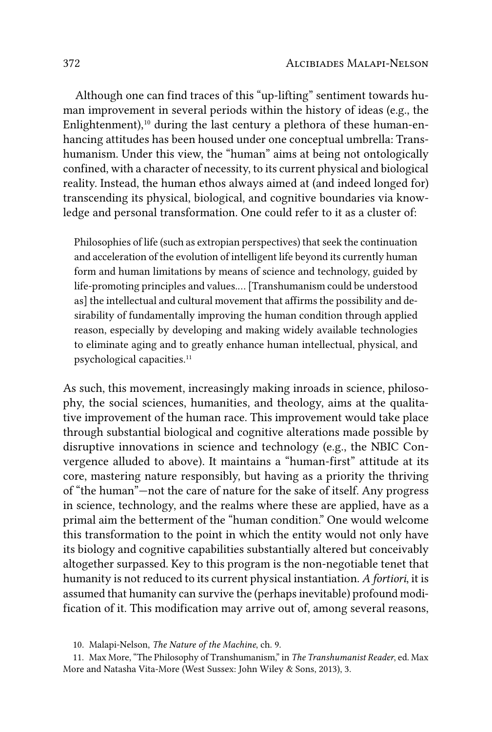Although one can find traces of this "up-lifting" sentiment towards human improvement in several periods within the history of ideas (e.g., the Enlightenment),<sup>10</sup> during the last century a plethora of these human-enhancing attitudes has been housed under one conceptual umbrella: Transhumanism. Under this view, the "human" aims at being not ontologically confined, with a character of necessity, to its current physical and biological reality. Instead, the human ethos always aimed at (and indeed longed for) transcending its physical, biological, and cognitive boundaries via knowledge and personal transformation. One could refer to it as a cluster of:

Philosophies of life (such as extropian perspectives) that seek the continuation and acceleration of the evolution of intelligent life beyond its currently human form and human limitations by means of science and technology, guided by life-promoting principles and values.… [Transhumanism could be understood as] the intellectual and cultural movement that affirms the possibility and desirability of fundamentally improving the human condition through applied reason, especially by developing and making widely available technologies to eliminate aging and to greatly enhance human intellectual, physical, and psychological capacities.<sup>11</sup>

As such, this movement, increasingly making inroads in science, philosophy, the social sciences, humanities, and theology, aims at the qualitative improvement of the human race. This improvement would take place through substantial biological and cognitive alterations made possible by disruptive innovations in science and technology (e.g., the NBIC Convergence alluded to above). It maintains a "human-first" attitude at its core, mastering nature responsibly, but having as a priority the thriving of "the human"—not the care of nature for the sake of itself. Any progress in science, technology, and the realms where these are applied, have as a primal aim the betterment of the "human condition." One would welcome this transformation to the point in which the entity would not only have its biology and cognitive capabilities substantially altered but conceivably altogether surpassed. Key to this program is the non-negotiable tenet that humanity is not reduced to its current physical instantiation. *A fortiori*, it is assumed that humanity can survive the (perhaps inevitable) profound modification of it. This modification may arrive out of, among several reasons,

<sup>10.</sup> Malapi-Nelson, *The Nature of the Machine*, ch. 9.

<sup>11.</sup> Max More, "The Philosophy of Transhumanism," in *The Transhumanist Reader*, ed. Max More and Natasha Vita-More (West Sussex: John Wiley & Sons, 2013), 3.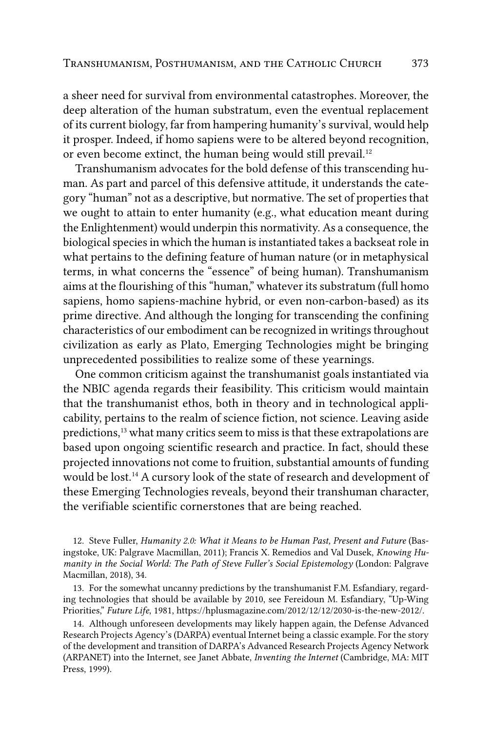a sheer need for survival from environmental catastrophes. Moreover, the deep alteration of the human substratum, even the eventual replacement of its current biology, far from hampering humanity's survival, would help it prosper. Indeed, if homo sapiens were to be altered beyond recognition, or even become extinct, the human being would still prevail.<sup>12</sup>

Transhumanism advocates for the bold defense of this transcending human. As part and parcel of this defensive attitude, it understands the category "human" not as a descriptive, but normative. The set of properties that we ought to attain to enter humanity (e.g., what education meant during the Enlightenment) would underpin this normativity. As a consequence, the biological species in which the human is instantiated takes a backseat role in what pertains to the defining feature of human nature (or in metaphysical terms, in what concerns the "essence" of being human). Transhumanism aims at the flourishing of this "human," whatever its substratum (full homo sapiens, homo sapiens-machine hybrid, or even non-carbon-based) as its prime directive. And although the longing for transcending the confining characteristics of our embodiment can be recognized in writings throughout civilization as early as Plato, Emerging Technologies might be bringing unprecedented possibilities to realize some of these yearnings.

One common criticism against the transhumanist goals instantiated via the NBIC agenda regards their feasibility. This criticism would maintain that the transhumanist ethos, both in theory and in technological applicability, pertains to the realm of science fiction, not science. Leaving aside predictions,13 what many critics seem to miss is that these extrapolations are based upon ongoing scientific research and practice. In fact, should these projected innovations not come to fruition, substantial amounts of funding would be lost.14 A cursory look of the state of research and development of these Emerging Technologies reveals, beyond their transhuman character, the verifiable scientific cornerstones that are being reached.

12. Steve Fuller, *Humanity 2.0: What it Means to be Human Past, Present and Future* (Basingstoke, UK: Palgrave Macmillan, 2011); Francis X. Remedios and Val Dusek, *Knowing Humanity in the Social World: The Path of Steve Fuller's Social Epistemology* (London: Palgrave Macmillan, 2018), 34.

13. For the somewhat uncanny predictions by the transhumanist F.M. Esfandiary, regarding technologies that should be available by 2010, see Fereidoun M. Esfandiary, "Up-Wing Priorities," *Future Life*, 1981, https://hplusmagazine.com/2012/12/12/2030-is-the-new-2012/.

14. Although unforeseen developments may likely happen again, the Defense Advanced Research Projects Agency's (DARPA) eventual Internet being a classic example. For the story of the development and transition of DARPA's Advanced Research Projects Agency Network (ARPANET) into the Internet, see Janet Abbate, *Inventing the Internet* (Cambridge, MA: MIT Press, 1999).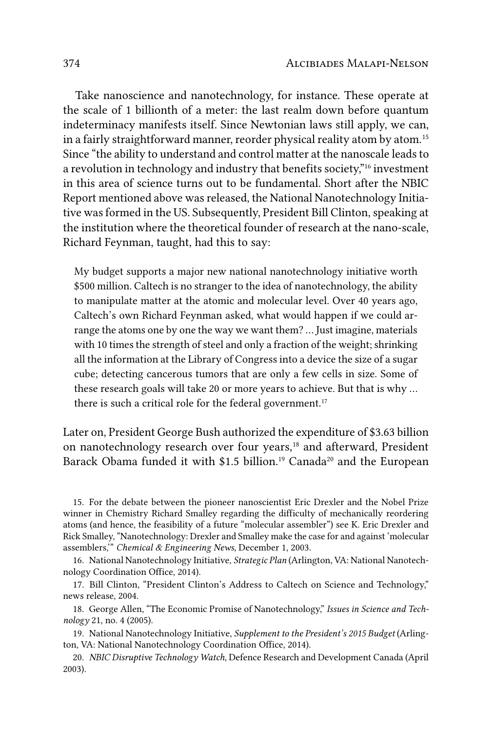Take nanoscience and nanotechnology, for instance. These operate at the scale of 1 billionth of a meter: the last realm down before quantum indeterminacy manifests itself. Since Newtonian laws still apply, we can, in a fairly straightforward manner, reorder physical reality atom by atom.15 Since "the ability to understand and control matter at the nanoscale leads to a revolution in technology and industry that benefits society,"16 investment in this area of science turns out to be fundamental. Short after the NBIC Report mentioned above was released, the National Nanotechnology Initiative was formed in the US. Subsequently, President Bill Clinton, speaking at the institution where the theoretical founder of research at the nano-scale, Richard Feynman, taught, had this to say:

My budget supports a major new national nanotechnology initiative worth \$500 million. Caltech is no stranger to the idea of nanotechnology, the ability to manipulate matter at the atomic and molecular level. Over 40 years ago, Caltech's own Richard Feynman asked, what would happen if we could arrange the atoms one by one the way we want them? … Just imagine, materials with 10 times the strength of steel and only a fraction of the weight; shrinking all the information at the Library of Congress into a device the size of a sugar cube; detecting cancerous tumors that are only a few cells in size. Some of these research goals will take 20 or more years to achieve. But that is why … there is such a critical role for the federal government. $17$ 

Later on, President George Bush authorized the expenditure of \$3.63 billion on nanotechnology research over four years,<sup>18</sup> and afterward, President Barack Obama funded it with \$1.5 billion.<sup>19</sup> Canada<sup>20</sup> and the European

15. For the debate between the pioneer nanoscientist Eric Drexler and the Nobel Prize winner in Chemistry Richard Smalley regarding the difficulty of mechanically reordering atoms (and hence, the feasibility of a future "molecular assembler") see K. Eric Drexler and Rick Smalley, "Nanotechnology: Drexler and Smalley make the case for and against 'molecular assemblers,'" *Chemical & Engineering News*, December 1, 2003.

16. National Nanotechnology Initiative, *Strategic Plan* (Arlington, VA: National Nanotechnology Coordination Office, 2014).

17. Bill Clinton, "President Clinton's Address to Caltech on Science and Technology," news release, 2004.

18. George Allen, "The Economic Promise of Nanotechnology," *Issues in Science and Technology* 21, no. 4 (2005).

19. National Nanotechnology Initiative, *Supplement to the President's 2015 Budget* (Arlington, VA: National Nanotechnology Coordination Office, 2014).

20. *NBIC Disruptive Technology Watch*, Defence Research and Development Canada (April 2003).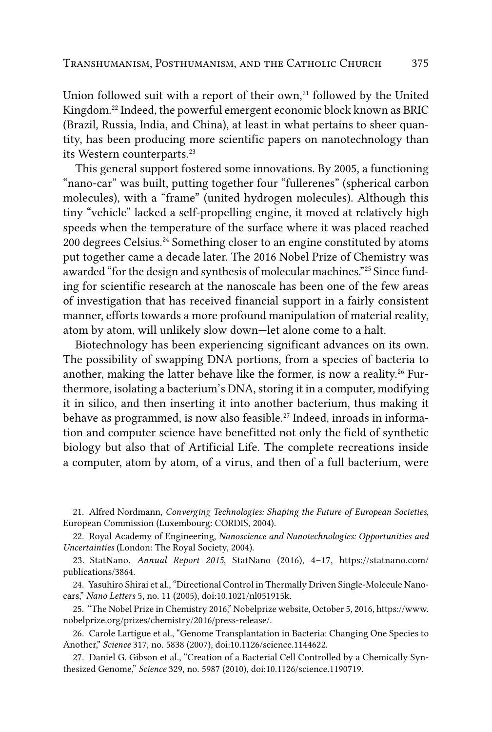Union followed suit with a report of their own,<sup>21</sup> followed by the United Kingdom.22 Indeed, the powerful emergent economic block known as BRIC (Brazil, Russia, India, and China), at least in what pertains to sheer quantity, has been producing more scientific papers on nanotechnology than its Western counterparts.<sup>23</sup>

This general support fostered some innovations. By 2005, a functioning "nano-car" was built, putting together four "fullerenes" (spherical carbon molecules), with a "frame" (united hydrogen molecules). Although this tiny "vehicle" lacked a self-propelling engine, it moved at relatively high speeds when the temperature of the surface where it was placed reached 200 degrees Celsius.24 Something closer to an engine constituted by atoms put together came a decade later. The 2016 Nobel Prize of Chemistry was awarded "for the design and synthesis of molecular machines."25 Since funding for scientific research at the nanoscale has been one of the few areas of investigation that has received financial support in a fairly consistent manner, efforts towards a more profound manipulation of material reality, atom by atom, will unlikely slow down—let alone come to a halt.

Biotechnology has been experiencing significant advances on its own. The possibility of swapping DNA portions, from a species of bacteria to another, making the latter behave like the former, is now a reality.<sup>26</sup> Furthermore, isolating a bacterium's DNA, storing it in a computer, modifying it in silico, and then inserting it into another bacterium, thus making it behave as programmed, is now also feasible.<sup>27</sup> Indeed, inroads in information and computer science have benefitted not only the field of synthetic biology but also that of Artificial Life. The complete recreations inside a computer, atom by atom, of a virus, and then of a full bacterium, were

21. Alfred Nordmann, *Converging Technologies: Shaping the Future of European Societies*, European Commission (Luxembourg: CORDIS, 2004).

22. Royal Academy of Engineering, *Nanoscience and Nanotechnologies: Opportunities and Uncertainties* (London: The Royal Society, 2004).

23. StatNano, *Annual Report 2015*, StatNano (2016), 4–17, https://statnano.com/ publications/3864.

24. Yasuhiro Shirai et al., "Directional Control in Thermally Driven Single-Molecule Nanocars," *Nano Letters* 5, no. 11 (2005), doi:10.1021/nl051915k.

25. "The Nobel Prize in Chemistry 2016," Nobelprize website, October 5, 2016, https://www. nobelprize.org/prizes/chemistry/2016/press-release/.

26. Carole Lartigue et al., "Genome Transplantation in Bacteria: Changing One Species to Another," *Science* 317, no. 5838 (2007), doi:10.1126/science.1144622.

27. Daniel G. Gibson et al., "Creation of a Bacterial Cell Controlled by a Chemically Synthesized Genome," *Science* 329, no. 5987 (2010), doi:10.1126/science.1190719.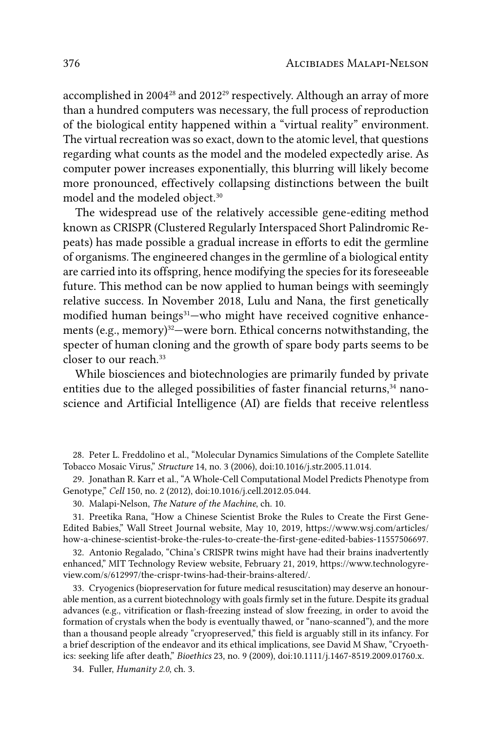accomplished in 2004<sup>28</sup> and 2012<sup>29</sup> respectively. Although an array of more than a hundred computers was necessary, the full process of reproduction of the biological entity happened within a "virtual reality" environment. The virtual recreation was so exact, down to the atomic level, that questions regarding what counts as the model and the modeled expectedly arise. As computer power increases exponentially, this blurring will likely become more pronounced, effectively collapsing distinctions between the built model and the modeled object.30

The widespread use of the relatively accessible gene-editing method known as CRISPR (Clustered Regularly Interspaced Short Palindromic Repeats) has made possible a gradual increase in efforts to edit the germline of organisms. The engineered changes in the germline of a biological entity are carried into its offspring, hence modifying the species for its foreseeable future. This method can be now applied to human beings with seemingly relative success. In November 2018, Lulu and Nana, the first genetically modified human beings<sup>31</sup>-who might have received cognitive enhancements (e.g., memory)<sup>32</sup>-were born. Ethical concerns notwithstanding, the specter of human cloning and the growth of spare body parts seems to be closer to our reach.<sup>33</sup>

While biosciences and biotechnologies are primarily funded by private entities due to the alleged possibilities of faster financial returns,<sup>34</sup> nanoscience and Artificial Intelligence (AI) are fields that receive relentless

28. Peter L. Freddolino et al., "Molecular Dynamics Simulations of the Complete Satellite Tobacco Mosaic Virus," *Structure* 14, no. 3 (2006), doi:10.1016/j.str.2005.11.014.

29. Jonathan R. Karr et al., "A Whole-Cell Computational Model Predicts Phenotype from Genotype," *Cell* 150, no. 2 (2012), doi:10.1016/j.cell.2012.05.044.

30. Malapi-Nelson, *The Nature of the Machine*, ch. 10.

31. Preetika Rana, "How a Chinese Scientist Broke the Rules to Create the First Gene-Edited Babies," Wall Street Journal website, May 10, 2019, https://www.wsj.com/articles/ how-a-chinese-scientist-broke-the-rules-to-create-the-first-gene-edited-babies-11557506697.

32. Antonio Regalado, "China's CRISPR twins might have had their brains inadvertently enhanced," MIT Technology Review website, February 21, 2019, https://www.technologyreview.com/s/612997/the-crispr-twins-had-their-brains-altered/.

33. Cryogenics (biopreservation for future medical resuscitation) may deserve an honourable mention, as a current biotechnology with goals firmly set in the future. Despite its gradual advances (e.g., vitrification or flash-freezing instead of slow freezing, in order to avoid the formation of crystals when the body is eventually thawed, or "nano-scanned"), and the more than a thousand people already "cryopreserved," this field is arguably still in its infancy. For a brief description of the endeavor and its ethical implications, see David M Shaw, "Cryoethics: seeking life after death," *Bioethics* 23, no. 9 (2009), doi:10.1111/j.1467-8519.2009.01760.x.

34. Fuller, *Humanity 2.0*, ch. 3.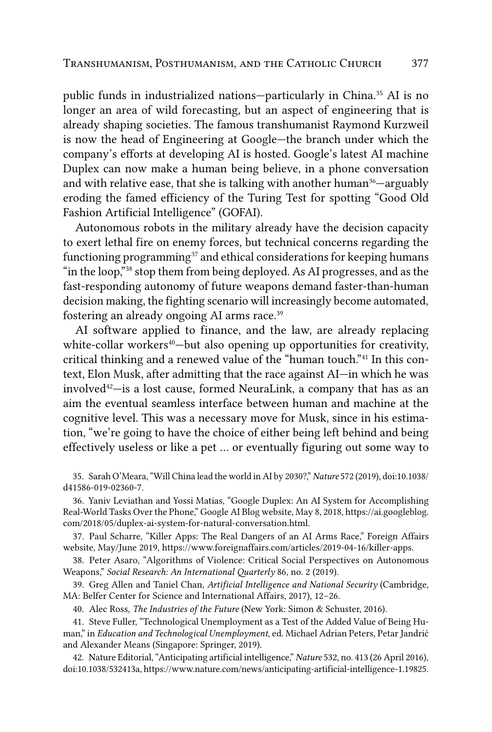public funds in industrialized nations-particularly in China.<sup>35</sup> AI is no longer an area of wild forecasting, but an aspect of engineering that is already shaping societies. The famous transhumanist Raymond Kurzweil is now the head of Engineering at Google—the branch under which the company's efforts at developing AI is hosted. Google's latest AI machine Duplex can now make a human being believe, in a phone conversation and with relative ease, that she is talking with another human<sup>36</sup>—arguably eroding the famed efficiency of the Turing Test for spotting "Good Old Fashion Artificial Intelligence" (GOFAI).

Autonomous robots in the military already have the decision capacity to exert lethal fire on enemy forces, but technical concerns regarding the functioning programming $37$  and ethical considerations for keeping humans "in the loop,"38 stop them from being deployed. As AI progresses, and as the fast-responding autonomy of future weapons demand faster-than-human decision making, the fighting scenario will increasingly become automated, fostering an already ongoing AI arms race.<sup>39</sup>

AI software applied to finance, and the law, are already replacing white-collar workers<sup>40</sup>-but also opening up opportunities for creativity, critical thinking and a renewed value of the "human touch."41 In this context, Elon Musk, after admitting that the race against AI—in which he was involved42—is a lost cause, formed NeuraLink, a company that has as an aim the eventual seamless interface between human and machine at the cognitive level. This was a necessary move for Musk, since in his estimation, "we're going to have the choice of either being left behind and being effectively useless or like a pet … or eventually figuring out some way to

35. Sarah O'Meara, "Will China lead the world in AI by 2030?," *Nature* 572 (2019), doi:10.1038/ d41586-019-02360-7.

36. Yaniv Leviathan and Yossi Matias, "Google Duplex: An AI System for Accomplishing Real-World Tasks Over the Phone," Google AI Blog website, May 8, 2018, https://ai.googleblog. com/2018/05/duplex-ai-system-for-natural-conversation.html.

37. Paul Scharre, "Killer Apps: The Real Dangers of an AI Arms Race," Foreign Affairs website, May/June 2019, https://www.foreignaffairs.com/articles/2019-04-16/killer-apps.

38. Peter Asaro, "Algorithms of Violence: Critical Social Perspectives on Autonomous Weapons," *Social Research: An International Quarterly* 86, no. 2 (2019).

39. Greg Allen and Taniel Chan, *Artificial Intelligence and National Security* (Cambridge, MA: Belfer Center for Science and International Affairs, 2017), 12–26.

40. Alec Ross, *The Industries of the Future* (New York: Simon & Schuster, 2016).

41. Steve Fuller, "Technological Unemployment as a Test of the Added Value of Being Human," in *Education and Technological Unemployment*, ed. Michael Adrian Peters, Petar Jandrić and Alexander Means (Singapore: Springer, 2019).

42. Nature Editorial, "Anticipating artificial intelligence," *Nature* 532, no. 413 (26 April 2016), doi:10.1038/532413a, https://www.nature.com/news/anticipating-artificial-intelligence-1.19825.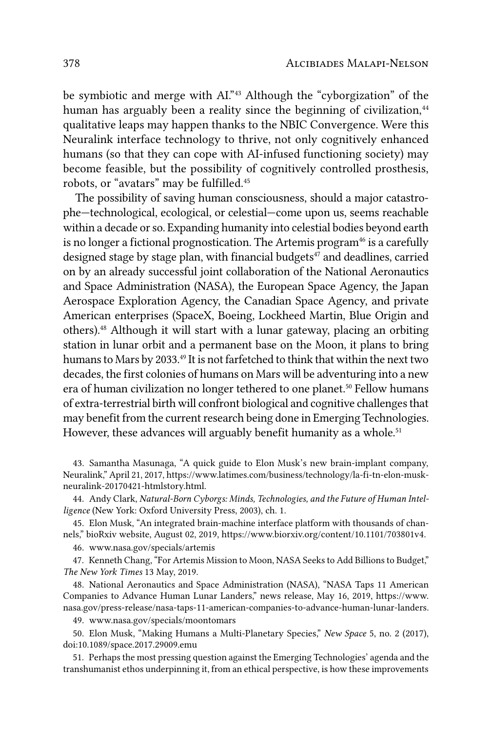be symbiotic and merge with AI."43 Although the "cyborgization" of the human has arguably been a reality since the beginning of civilization,<sup>44</sup> qualitative leaps may happen thanks to the NBIC Convergence. Were this Neuralink interface technology to thrive, not only cognitively enhanced humans (so that they can cope with AI-infused functioning society) may become feasible, but the possibility of cognitively controlled prosthesis, robots, or "avatars" may be fulfilled.45

The possibility of saving human consciousness, should a major catastrophe—technological, ecological, or celestial—come upon us, seems reachable within a decade or so. Expanding humanity into celestial bodies beyond earth is no longer a fictional prognostication. The Artemis program<sup>46</sup> is a carefully designed stage by stage plan, with financial budgets<sup>47</sup> and deadlines, carried on by an already successful joint collaboration of the National Aeronautics and Space Administration (NASA), the European Space Agency, the Japan Aerospace Exploration Agency, the Canadian Space Agency, and private American enterprises (SpaceX, Boeing, Lockheed Martin, Blue Origin and others).48 Although it will start with a lunar gateway, placing an orbiting station in lunar orbit and a permanent base on the Moon, it plans to bring humans to Mars by 2033.<sup>49</sup> It is not farfetched to think that within the next two decades, the first colonies of humans on Mars will be adventuring into a new era of human civilization no longer tethered to one planet.<sup>50</sup> Fellow humans of extra-terrestrial birth will confront biological and cognitive challenges that may benefit from the current research being done in Emerging Technologies. However, these advances will arguably benefit humanity as a whole.<sup>51</sup>

43. Samantha Masunaga, "A quick guide to Elon Musk's new brain-implant company, Neuralink," April 21, 2017, https://www.latimes.com/business/technology/la-fi-tn-elon-muskneuralink-20170421-htmlstory.html.

44. Andy Clark, *Natural-Born Cyborgs: Minds, Technologies, and the Future of Human Intelligence* (New York: Oxford University Press, 2003), ch. 1.

45. Elon Musk, "An integrated brain-machine interface platform with thousands of channels," bioRxiv website, August 02, 2019, https://www.biorxiv.org/content/10.1101/703801v4.

46. www.nasa.gov/specials/artemis

47. Kenneth Chang, "For Artemis Mission to Moon, NASA Seeks to Add Billions to Budget," *The New York Times* 13 May, 2019.

48. National Aeronautics and Space Administration (NASA), "NASA Taps 11 American Companies to Advance Human Lunar Landers," news release, May 16, 2019, https://www. nasa.gov/press-release/nasa-taps-11-american-companies-to-advance-human-lunar-landers.

49. www.nasa.gov/specials/moontomars

50. Elon Musk, "Making Humans a Multi-Planetary Species," *New Space* 5, no. 2 (2017), doi:10.1089/space.2017.29009.emu

51. Perhaps the most pressing question against the Emerging Technologies' agenda and the transhumanist ethos underpinning it, from an ethical perspective, is how these improvements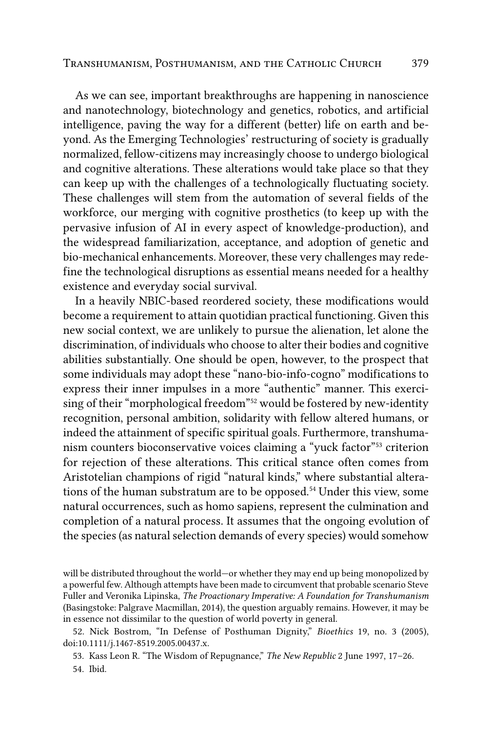As we can see, important breakthroughs are happening in nanoscience and nanotechnology, biotechnology and genetics, robotics, and artificial intelligence, paving the way for a different (better) life on earth and beyond. As the Emerging Technologies' restructuring of society is gradually normalized, fellow-citizens may increasingly choose to undergo biological and cognitive alterations. These alterations would take place so that they can keep up with the challenges of a technologically fluctuating society. These challenges will stem from the automation of several fields of the workforce, our merging with cognitive prosthetics (to keep up with the pervasive infusion of AI in every aspect of knowledge-production), and the widespread familiarization, acceptance, and adoption of genetic and bio-mechanical enhancements. Moreover, these very challenges may redefine the technological disruptions as essential means needed for a healthy existence and everyday social survival.

In a heavily NBIC-based reordered society, these modifications would become a requirement to attain quotidian practical functioning. Given this new social context, we are unlikely to pursue the alienation, let alone the discrimination, of individuals who choose to alter their bodies and cognitive abilities substantially. One should be open, however, to the prospect that some individuals may adopt these "nano-bio-info-cogno" modifications to express their inner impulses in a more "authentic" manner. This exercising of their "morphological freedom"<sup>52</sup> would be fostered by new-identity recognition, personal ambition, solidarity with fellow altered humans, or indeed the attainment of specific spiritual goals. Furthermore, transhumanism counters bioconservative voices claiming a "yuck factor"53 criterion for rejection of these alterations. This critical stance often comes from Aristotelian champions of rigid "natural kinds," where substantial alterations of the human substratum are to be opposed.<sup>54</sup> Under this view, some natural occurrences, such as homo sapiens, represent the culmination and completion of a natural process. It assumes that the ongoing evolution of the species (as natural selection demands of every species) would somehow

will be distributed throughout the world—or whether they may end up being monopolized by a powerful few. Although attempts have been made to circumvent that probable scenario Steve Fuller and Veronika Lipinska, *The Proactionary Imperative: A Foundation for Transhumanism* (Basingstoke: Palgrave Macmillan, 2014), the question arguably remains. However, it may be in essence not dissimilar to the question of world poverty in general.

52. Nick Bostrom, "In Defense of Posthuman Dignity," *Bioethics* 19, no. 3 (2005), doi:10.1111/j.1467-8519.2005.00437.x.

53. Kass Leon R. "The Wisdom of Repugnance," *The New Republic* 2 June 1997, 17–26. 54. Ibid.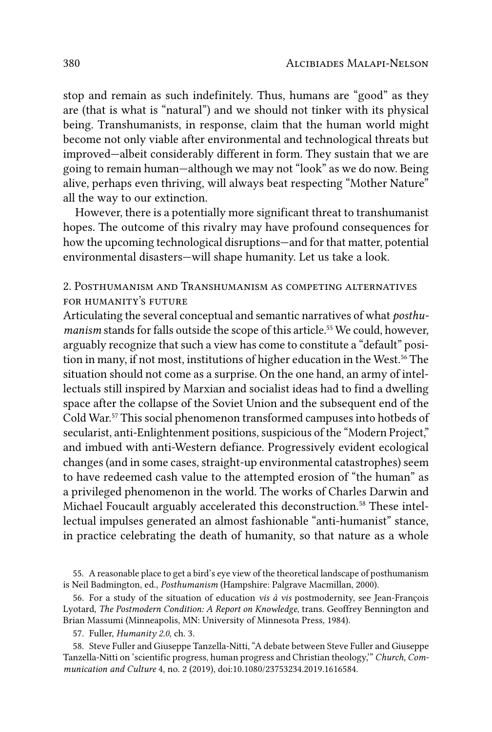stop and remain as such indefinitely. Thus, humans are "good" as they are (that is what is "natural") and we should not tinker with its physical being. Transhumanists, in response, claim that the human world might become not only viable after environmental and technological threats but improved—albeit considerably different in form. They sustain that we are going to remain human—although we may not "look" as we do now. Being alive, perhaps even thriving, will always beat respecting "Mother Nature" all the way to our extinction.

However, there is a potentially more significant threat to transhumanist hopes. The outcome of this rivalry may have profound consequences for how the upcoming technological disruptions—and for that matter, potential environmental disasters—will shape humanity. Let us take a look.

## 2. Posthumanism and Transhumanism as competing alternatives for humanity's future

Articulating the several conceptual and semantic narratives of what *posthu*manism stands for falls outside the scope of this article.<sup>55</sup> We could, however, arguably recognize that such a view has come to constitute a "default" position in many, if not most, institutions of higher education in the West.<sup>56</sup> The situation should not come as a surprise. On the one hand, an army of intellectuals still inspired by Marxian and socialist ideas had to find a dwelling space after the collapse of the Soviet Union and the subsequent end of the Cold War.57 This social phenomenon transformed campuses into hotbeds of secularist, anti-Enlightenment positions, suspicious of the "Modern Project," and imbued with anti-Western defiance. Progressively evident ecological changes (and in some cases, straight-up environmental catastrophes) seem to have redeemed cash value to the attempted erosion of "the human" as a privileged phenomenon in the world. The works of Charles Darwin and Michael Foucault arguably accelerated this deconstruction.<sup>58</sup> These intellectual impulses generated an almost fashionable "anti-humanist" stance, in practice celebrating the death of humanity, so that nature as a whole

55. A reasonable place to get a bird's eye view of the theoretical landscape of posthumanism is Neil Badmington, ed., *Posthumanism* (Hampshire: Palgrave Macmillan, 2000).

56. For a study of the situation of education *vis à vis* postmodernity, see Jean-François Lyotard, *The Postmodern Condition: A Report on Knowledge*, trans. Geoffrey Bennington and Brian Massumi (Minneapolis, MN: University of Minnesota Press, 1984).

57. Fuller, *Humanity 2.0*, ch. 3.

58. Steve Fuller and Giuseppe Tanzella-Nitti, "A debate between Steve Fuller and Giuseppe Tanzella-Nitti on 'scientific progress, human progress and Christian theology,'" *Church, Communication and Culture* 4, no. 2 (2019), doi:10.1080/23753234.2019.1616584.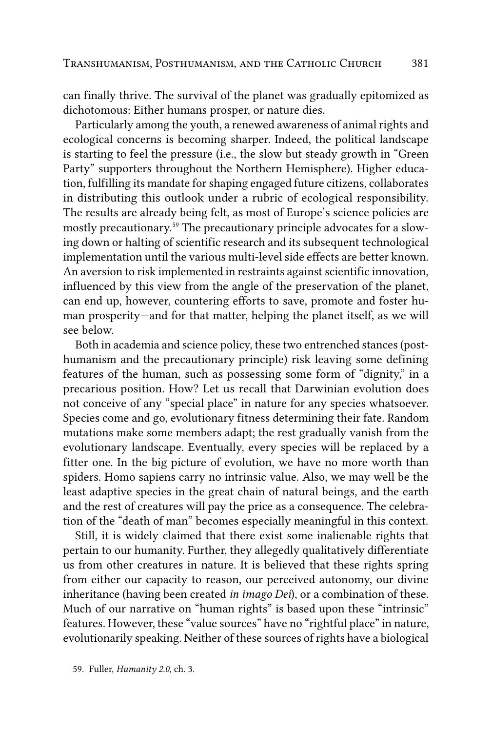can finally thrive. The survival of the planet was gradually epitomized as dichotomous: Either humans prosper, or nature dies.

Particularly among the youth, a renewed awareness of animal rights and ecological concerns is becoming sharper. Indeed, the political landscape is starting to feel the pressure (i.e., the slow but steady growth in "Green Party" supporters throughout the Northern Hemisphere). Higher education, fulfilling its mandate for shaping engaged future citizens, collaborates in distributing this outlook under a rubric of ecological responsibility. The results are already being felt, as most of Europe's science policies are mostly precautionary.59 The precautionary principle advocates for a slowing down or halting of scientific research and its subsequent technological implementation until the various multi-level side effects are better known. An aversion to risk implemented in restraints against scientific innovation, influenced by this view from the angle of the preservation of the planet, can end up, however, countering efforts to save, promote and foster human prosperity—and for that matter, helping the planet itself, as we will see below.

Both in academia and science policy, these two entrenched stances (posthumanism and the precautionary principle) risk leaving some defining features of the human, such as possessing some form of "dignity," in a precarious position. How? Let us recall that Darwinian evolution does not conceive of any "special place" in nature for any species whatsoever. Species come and go, evolutionary fitness determining their fate. Random mutations make some members adapt; the rest gradually vanish from the evolutionary landscape. Eventually, every species will be replaced by a fitter one. In the big picture of evolution, we have no more worth than spiders. Homo sapiens carry no intrinsic value. Also, we may well be the least adaptive species in the great chain of natural beings, and the earth and the rest of creatures will pay the price as a consequence. The celebration of the "death of man" becomes especially meaningful in this context.

Still, it is widely claimed that there exist some inalienable rights that pertain to our humanity. Further, they allegedly qualitatively differentiate us from other creatures in nature. It is believed that these rights spring from either our capacity to reason, our perceived autonomy, our divine inheritance (having been created *in imago Dei*), or a combination of these. Much of our narrative on "human rights" is based upon these "intrinsic" features. However, these "value sources" have no "rightful place" in nature, evolutionarily speaking. Neither of these sources of rights have a biological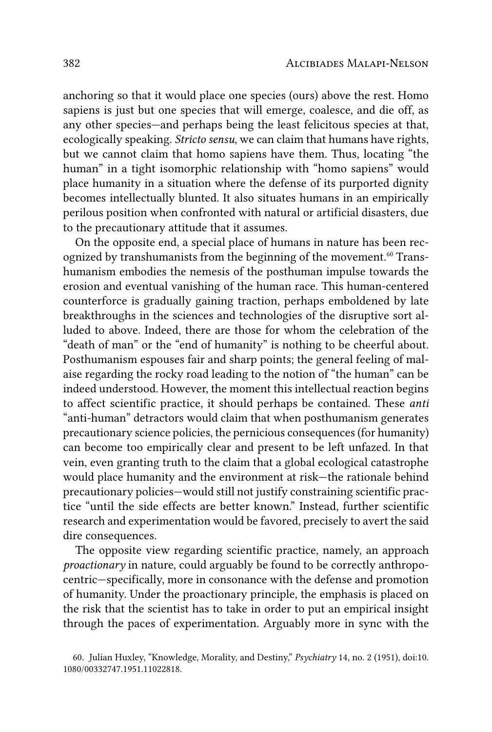anchoring so that it would place one species (ours) above the rest. Homo sapiens is just but one species that will emerge, coalesce, and die off, as any other species—and perhaps being the least felicitous species at that, ecologically speaking. *Stricto sensu*, we can claim that humans have rights, but we cannot claim that homo sapiens have them. Thus, locating "the human" in a tight isomorphic relationship with "homo sapiens" would place humanity in a situation where the defense of its purported dignity becomes intellectually blunted. It also situates humans in an empirically perilous position when confronted with natural or artificial disasters, due to the precautionary attitude that it assumes.

On the opposite end, a special place of humans in nature has been recognized by transhumanists from the beginning of the movement.<sup>60</sup> Transhumanism embodies the nemesis of the posthuman impulse towards the erosion and eventual vanishing of the human race. This human-centered counterforce is gradually gaining traction, perhaps emboldened by late breakthroughs in the sciences and technologies of the disruptive sort alluded to above. Indeed, there are those for whom the celebration of the "death of man" or the "end of humanity" is nothing to be cheerful about. Posthumanism espouses fair and sharp points; the general feeling of malaise regarding the rocky road leading to the notion of "the human" can be indeed understood. However, the moment this intellectual reaction begins to affect scientific practice, it should perhaps be contained. These *anti* "anti-human" detractors would claim that when posthumanism generates precautionary science policies, the pernicious consequences (for humanity) can become too empirically clear and present to be left unfazed. In that vein, even granting truth to the claim that a global ecological catastrophe would place humanity and the environment at risk—the rationale behind precautionary policies—would still not justify constraining scientific practice "until the side effects are better known." Instead, further scientific research and experimentation would be favored, precisely to avert the said dire consequences.

The opposite view regarding scientific practice, namely, an approach *proactionary* in nature, could arguably be found to be correctly anthropocentric—specifically, more in consonance with the defense and promotion of humanity. Under the proactionary principle, the emphasis is placed on the risk that the scientist has to take in order to put an empirical insight through the paces of experimentation. Arguably more in sync with the

<sup>60.</sup> Julian Huxley, "Knowledge, Morality, and Destiny," *Psychiatry* 14, no. 2 (1951), doi:10. 1080/00332747.1951.11022818.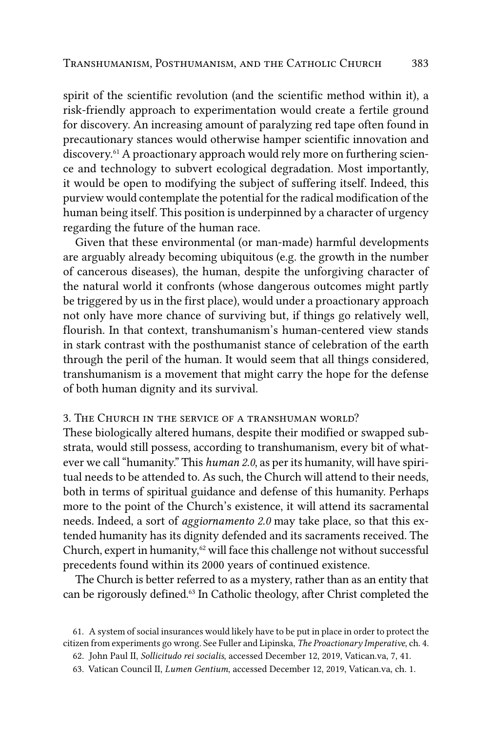spirit of the scientific revolution (and the scientific method within it), a risk-friendly approach to experimentation would create a fertile ground for discovery. An increasing amount of paralyzing red tape often found in precautionary stances would otherwise hamper scientific innovation and discovery.61 A proactionary approach would rely more on furthering science and technology to subvert ecological degradation. Most importantly, it would be open to modifying the subject of suffering itself. Indeed, this purview would contemplate the potential for the radical modification of the human being itself. This position is underpinned by a character of urgency regarding the future of the human race.

Given that these environmental (or man-made) harmful developments are arguably already becoming ubiquitous (e.g. the growth in the number of cancerous diseases), the human, despite the unforgiving character of the natural world it confronts (whose dangerous outcomes might partly be triggered by us in the first place), would under a proactionary approach not only have more chance of surviving but, if things go relatively well, flourish. In that context, transhumanism's human-centered view stands in stark contrast with the posthumanist stance of celebration of the earth through the peril of the human. It would seem that all things considered, transhumanism is a movement that might carry the hope for the defense of both human dignity and its survival.

#### 3. The Church in the service of a transhuman world?

These biologically altered humans, despite their modified or swapped substrata, would still possess, according to transhumanism, every bit of whatever we call "humanity." This *human 2.0*, as per its humanity, will have spiritual needs to be attended to. As such, the Church will attend to their needs, both in terms of spiritual guidance and defense of this humanity. Perhaps more to the point of the Church's existence, it will attend its sacramental needs. Indeed, a sort of *aggiornamento 2.0* may take place, so that this extended humanity has its dignity defended and its sacraments received. The Church, expert in humanity,<sup>62</sup> will face this challenge not without successful precedents found within its 2000 years of continued existence.

The Church is better referred to as a mystery, rather than as an entity that can be rigorously defined.<sup>63</sup> In Catholic theology, after Christ completed the

<sup>61.</sup> A system of social insurances would likely have to be put in place in order to protect the citizen from experiments go wrong. See Fuller and Lipinska, *The Proactionary Imperative*, ch. 4.

<sup>62.</sup> John Paul II, *Sollicitudo rei socialis*, accessed December 12, 2019, Vatican.va, 7, 41.

<sup>63.</sup> Vatican Council II, *Lumen Gentium*, accessed December 12, 2019, Vatican.va, ch. 1.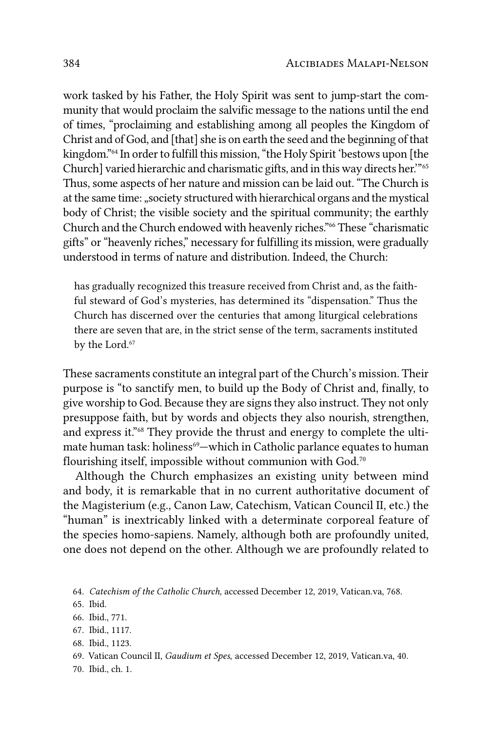work tasked by his Father, the Holy Spirit was sent to jump-start the community that would proclaim the salvific message to the nations until the end of times, "proclaiming and establishing among all peoples the Kingdom of Christ and of God, and [that] she is on earth the seed and the beginning of that kingdom."64 In order to fulfill this mission, "the Holy Spirit 'bestows upon [the Church] varied hierarchic and charismatic gifts, and in this way directs her.'"65 Thus, some aspects of her nature and mission can be laid out. "The Church is at the same time: "society structured with hierarchical organs and the mystical body of Christ; the visible society and the spiritual community; the earthly Church and the Church endowed with heavenly riches."66 These "charismatic gifts" or "heavenly riches," necessary for fulfilling its mission, were gradually understood in terms of nature and distribution. Indeed, the Church:

has gradually recognized this treasure received from Christ and, as the faithful steward of God's mysteries, has determined its "dispensation." Thus the Church has discerned over the centuries that among liturgical celebrations there are seven that are, in the strict sense of the term, sacraments instituted by the Lord.<sup>67</sup>

These sacraments constitute an integral part of the Church's mission. Their purpose is "to sanctify men, to build up the Body of Christ and, finally, to give worship to God. Because they are signs they also instruct. They not only presuppose faith, but by words and objects they also nourish, strengthen, and express it."68 They provide the thrust and energy to complete the ultimate human task: holiness<sup>69</sup>—which in Catholic parlance equates to human flourishing itself, impossible without communion with God.70

Although the Church emphasizes an existing unity between mind and body, it is remarkable that in no current authoritative document of the Magisterium (e.g., Canon Law, Catechism, Vatican Council II, etc.) the "human" is inextricably linked with a determinate corporeal feature of the species homo-sapiens. Namely, although both are profoundly united, one does not depend on the other. Although we are profoundly related to

68. Ibid., 1123.

70. Ibid., ch. 1.

<sup>64.</sup> *Catechism of the Catholic Church,* accessed December 12, 2019, Vatican.va, 768.

<sup>65.</sup> Ibid.

<sup>66.</sup> Ibid., 771.

<sup>67.</sup> Ibid., 1117.

<sup>69.</sup> Vatican Council II, *Gaudium et Spes*, accessed December 12, 2019, Vatican.va, 40.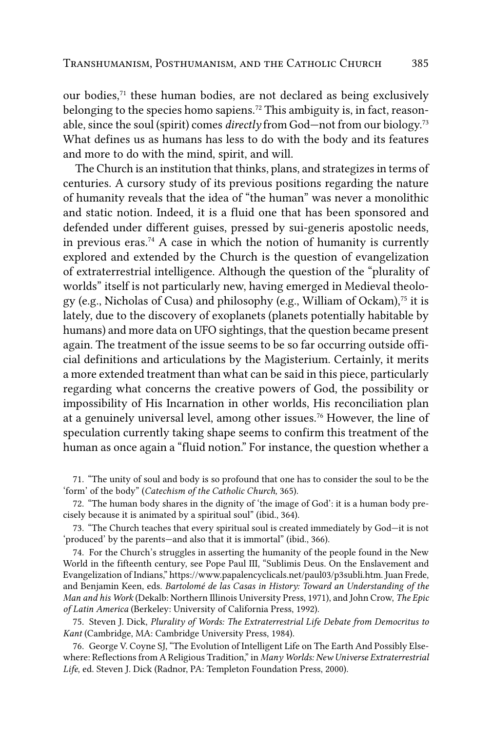our bodies,<sup>71</sup> these human bodies, are not declared as being exclusively belonging to the species homo sapiens.<sup>72</sup> This ambiguity is, in fact, reasonable, since the soul (spirit) comes *directly* from God—not from our biology.73 What defines us as humans has less to do with the body and its features and more to do with the mind, spirit, and will.

The Church is an institution that thinks, plans, and strategizes in terms of centuries. A cursory study of its previous positions regarding the nature of humanity reveals that the idea of "the human" was never a monolithic and static notion. Indeed, it is a fluid one that has been sponsored and defended under different guises, pressed by sui-generis apostolic needs, in previous eras.<sup>74</sup> A case in which the notion of humanity is currently explored and extended by the Church is the question of evangelization of extraterrestrial intelligence. Although the question of the "plurality of worlds" itself is not particularly new, having emerged in Medieval theology (e.g., Nicholas of Cusa) and philosophy (e.g., William of Ockam),<sup>75</sup> it is lately, due to the discovery of exoplanets (planets potentially habitable by humans) and more data on UFO sightings, that the question became present again. The treatment of the issue seems to be so far occurring outside official definitions and articulations by the Magisterium. Certainly, it merits a more extended treatment than what can be said in this piece, particularly regarding what concerns the creative powers of God, the possibility or impossibility of His Incarnation in other worlds, His reconciliation plan at a genuinely universal level, among other issues.76 However, the line of speculation currently taking shape seems to confirm this treatment of the human as once again a "fluid notion." For instance, the question whether a

71. "The unity of soul and body is so profound that one has to consider the soul to be the 'form' of the body" (*Catechism of the Catholic Church,* 365).

72. "The human body shares in the dignity of 'the image of God': it is a human body precisely because it is animated by a spiritual soul" (ibid., 364).

73. "The Church teaches that every spiritual soul is created immediately by God—it is not 'produced' by the parents—and also that it is immortal" (ibid., 366).

74. For the Church's struggles in asserting the humanity of the people found in the New World in the fifteenth century, see Pope Paul III, "Sublimis Deus. On the Enslavement and Evangelization of Indians," https://www.papalencyclicals.net/paul03/p3subli.htm. Juan Frede, and Benjamin Keen, eds. *Bartolomé de las Casas in History: Toward an Understanding of the Man and his Work* (Dekalb: Northern Illinois University Press, 1971), and John Crow, *The Epic of Latin America* (Berkeley: University of California Press, 1992).

75. Steven J. Dick, *Plurality of Words: The Extraterrestrial Life Debate from Democritus to Kant* (Cambridge, MA: Cambridge University Press, 1984).

76. George V. Coyne SJ, "The Evolution of Intelligent Life on The Earth And Possibly Elsewhere: Reflections from A Religious Tradition," in *Many Worlds: New Universe Extraterrestrial Life*, ed. Steven J. Dick (Radnor, PA: Templeton Foundation Press, 2000).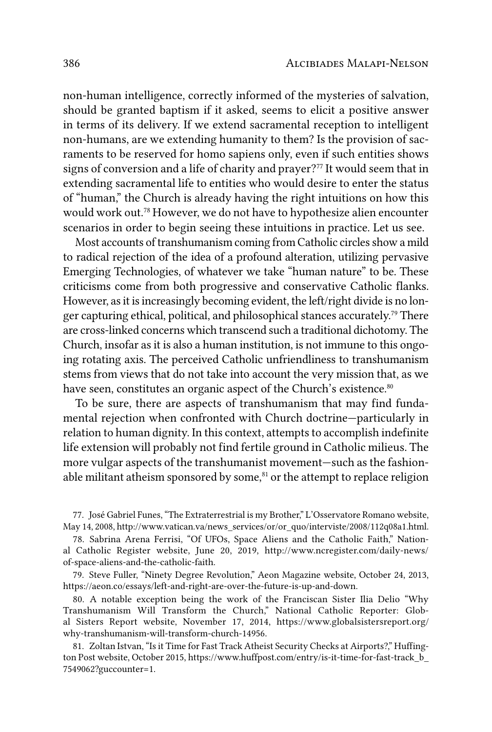non-human intelligence, correctly informed of the mysteries of salvation, should be granted baptism if it asked, seems to elicit a positive answer in terms of its delivery. If we extend sacramental reception to intelligent non-humans, are we extending humanity to them? Is the provision of sacraments to be reserved for homo sapiens only, even if such entities shows signs of conversion and a life of charity and prayer?<sup>77</sup> It would seem that in extending sacramental life to entities who would desire to enter the status of "human," the Church is already having the right intuitions on how this would work out.78 However, we do not have to hypothesize alien encounter scenarios in order to begin seeing these intuitions in practice. Let us see.

Most accounts of transhumanism coming from Catholic circles show a mild to radical rejection of the idea of a profound alteration, utilizing pervasive Emerging Technologies, of whatever we take "human nature" to be. These criticisms come from both progressive and conservative Catholic flanks. However, as it is increasingly becoming evident, the left/right divide is no longer capturing ethical, political, and philosophical stances accurately.79 There are cross-linked concerns which transcend such a traditional dichotomy. The Church, insofar as it is also a human institution, is not immune to this ongoing rotating axis. The perceived Catholic unfriendliness to transhumanism stems from views that do not take into account the very mission that, as we have seen, constitutes an organic aspect of the Church's existence.<sup>80</sup>

To be sure, there are aspects of transhumanism that may find fundamental rejection when confronted with Church doctrine—particularly in relation to human dignity. In this context, attempts to accomplish indefinite life extension will probably not find fertile ground in Catholic milieus. The more vulgar aspects of the transhumanist movement—such as the fashionable militant atheism sponsored by some, $81$  or the attempt to replace religion

77. José Gabriel Funes, "The Extraterrestrial is my Brother," L'Osservatore Romano website, May 14, 2008, http://www.vatican.va/news\_services/or/or\_quo/interviste/2008/112q08a1.html.

78. Sabrina Arena Ferrisi, "Of UFOs, Space Aliens and the Catholic Faith," National Catholic Register website, June 20, 2019, http://www.ncregister.com/daily-news/ of-space-aliens-and-the-catholic-faith.

79. Steve Fuller, "Ninety Degree Revolution," Aeon Magazine website, October 24, 2013, https://aeon.co/essays/left-and-right-are-over-the-future-is-up-and-down.

80. A notable exception being the work of the Franciscan Sister Ilia Delio "Why Transhumanism Will Transform the Church," National Catholic Reporter: Global Sisters Report website, November 17, 2014, https://www.globalsistersreport.org/ why-transhumanism-will-transform-church-14956.

81. Zoltan Istvan, "Is it Time for Fast Track Atheist Security Checks at Airports?," Huffington Post website, October 2015, https://www.huffpost.com/entry/is-it-time-for-fast-track\_b\_ 7549062?guccounter=1.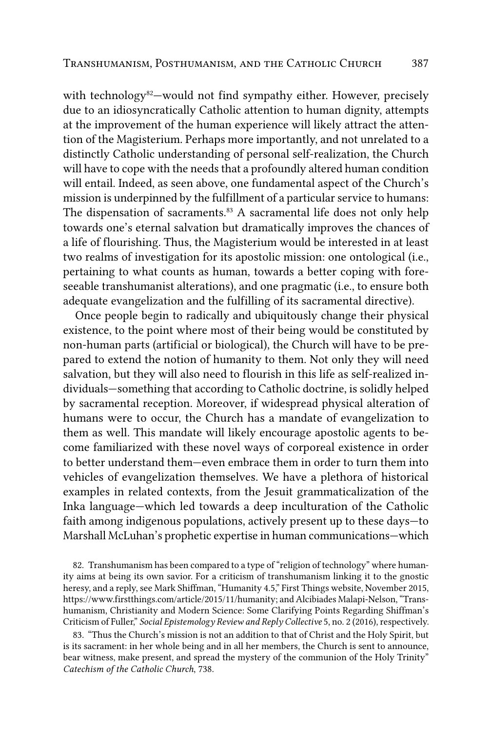with technology<sup>82</sup>-would not find sympathy either. However, precisely due to an idiosyncratically Catholic attention to human dignity, attempts at the improvement of the human experience will likely attract the attention of the Magisterium. Perhaps more importantly, and not unrelated to a distinctly Catholic understanding of personal self-realization, the Church will have to cope with the needs that a profoundly altered human condition will entail. Indeed, as seen above, one fundamental aspect of the Church's mission is underpinned by the fulfillment of a particular service to humans: The dispensation of sacraments.<sup>83</sup> A sacramental life does not only help towards one's eternal salvation but dramatically improves the chances of a life of flourishing. Thus, the Magisterium would be interested in at least two realms of investigation for its apostolic mission: one ontological (i.e., pertaining to what counts as human, towards a better coping with foreseeable transhumanist alterations), and one pragmatic (i.e., to ensure both adequate evangelization and the fulfilling of its sacramental directive).

Once people begin to radically and ubiquitously change their physical existence, to the point where most of their being would be constituted by non-human parts (artificial or biological), the Church will have to be prepared to extend the notion of humanity to them. Not only they will need salvation, but they will also need to flourish in this life as self-realized individuals—something that according to Catholic doctrine, is solidly helped by sacramental reception. Moreover, if widespread physical alteration of humans were to occur, the Church has a mandate of evangelization to them as well. This mandate will likely encourage apostolic agents to become familiarized with these novel ways of corporeal existence in order to better understand them—even embrace them in order to turn them into vehicles of evangelization themselves. We have a plethora of historical examples in related contexts, from the Jesuit grammaticalization of the Inka language—which led towards a deep inculturation of the Catholic faith among indigenous populations, actively present up to these days—to Marshall McLuhan's prophetic expertise in human communications—which

82. Transhumanism has been compared to a type of "religion of technology" where humanity aims at being its own savior. For a criticism of transhumanism linking it to the gnostic heresy, and a reply, see Mark Shiffman, "Humanity 4.5," First Things website, November 2015, https://www.firstthings.com/article/2015/11/humanity; and Alcibiades Malapi-Nelson, "Transhumanism, Christianity and Modern Science: Some Clarifying Points Regarding Shiffman's Criticism of Fuller," *Social Epistemology Review and Reply Collective* 5, no. 2 (2016), respectively.

83. "Thus the Church's mission is not an addition to that of Christ and the Holy Spirit, but is its sacrament: in her whole being and in all her members, the Church is sent to announce, bear witness, make present, and spread the mystery of the communion of the Holy Trinity" *Catechism of the Catholic Church*, 738.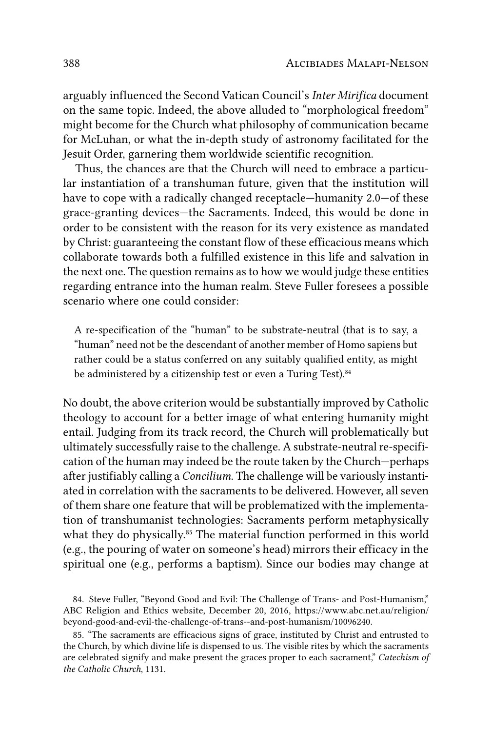arguably influenced the Second Vatican Council's *Inter Mirifica* document on the same topic. Indeed, the above alluded to "morphological freedom" might become for the Church what philosophy of communication became for McLuhan, or what the in-depth study of astronomy facilitated for the Jesuit Order, garnering them worldwide scientific recognition.

Thus, the chances are that the Church will need to embrace a particular instantiation of a transhuman future, given that the institution will have to cope with a radically changed receptacle—humanity 2.0—of these grace-granting devices—the Sacraments. Indeed, this would be done in order to be consistent with the reason for its very existence as mandated by Christ: guaranteeing the constant flow of these efficacious means which collaborate towards both a fulfilled existence in this life and salvation in the next one. The question remains as to how we would judge these entities regarding entrance into the human realm. Steve Fuller foresees a possible scenario where one could consider:

A re-specification of the "human" to be substrate-neutral (that is to say, a "human" need not be the descendant of another member of Homo sapiens but rather could be a status conferred on any suitably qualified entity, as might be administered by a citizenship test or even a Turing Test).<sup>84</sup>

No doubt, the above criterion would be substantially improved by Catholic theology to account for a better image of what entering humanity might entail. Judging from its track record, the Church will problematically but ultimately successfully raise to the challenge. A substrate-neutral re-specification of the human may indeed be the route taken by the Church—perhaps after justifiably calling a *Concilium*. The challenge will be variously instantiated in correlation with the sacraments to be delivered. However, all seven of them share one feature that will be problematized with the implementation of transhumanist technologies: Sacraments perform metaphysically what they do physically.<sup>85</sup> The material function performed in this world (e.g., the pouring of water on someone's head) mirrors their efficacy in the spiritual one (e.g., performs a baptism). Since our bodies may change at

84. Steve Fuller, "Beyond Good and Evil: The Challenge of Trans- and Post-Humanism," ABC Religion and Ethics website, December 20, 2016, https://www.abc.net.au/religion/ beyond-good-and-evil-the-challenge-of-trans--and-post-humanism/10096240.

85. "The sacraments are efficacious signs of grace, instituted by Christ and entrusted to the Church, by which divine life is dispensed to us. The visible rites by which the sacraments are celebrated signify and make present the graces proper to each sacrament," *Catechism of the Catholic Church*, 1131.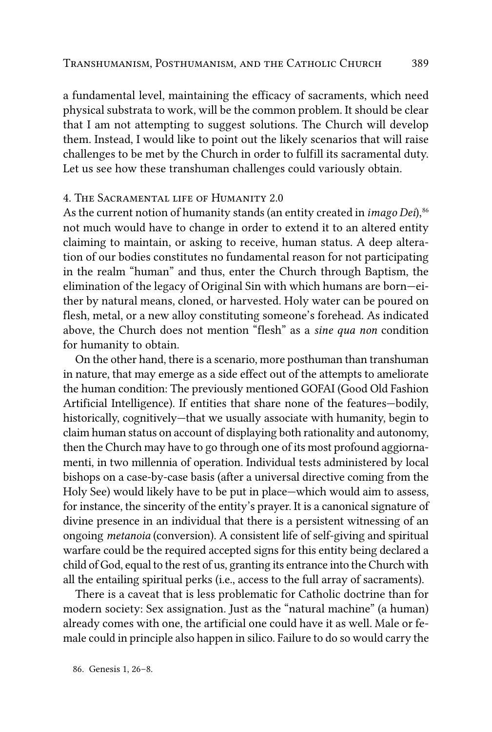a fundamental level, maintaining the efficacy of sacraments, which need physical substrata to work, will be the common problem. It should be clear that I am not attempting to suggest solutions. The Church will develop them. Instead, I would like to point out the likely scenarios that will raise challenges to be met by the Church in order to fulfill its sacramental duty. Let us see how these transhuman challenges could variously obtain.

#### 4. The Sacramental life of Humanity 2.0

As the current notion of humanity stands (an entity created in *imago Dei*),<sup>86</sup> not much would have to change in order to extend it to an altered entity claiming to maintain, or asking to receive, human status. A deep alteration of our bodies constitutes no fundamental reason for not participating in the realm "human" and thus, enter the Church through Baptism, the elimination of the legacy of Original Sin with which humans are born—either by natural means, cloned, or harvested. Holy water can be poured on flesh, metal, or a new alloy constituting someone's forehead. As indicated above, the Church does not mention "flesh" as a *sine qua non* condition for humanity to obtain.

On the other hand, there is a scenario, more posthuman than transhuman in nature, that may emerge as a side effect out of the attempts to ameliorate the human condition: The previously mentioned GOFAI (Good Old Fashion Artificial Intelligence). If entities that share none of the features—bodily, historically, cognitively—that we usually associate with humanity, begin to claim human status on account of displaying both rationality and autonomy, then the Church may have to go through one of its most profound aggiornamenti, in two millennia of operation. Individual tests administered by local bishops on a case-by-case basis (after a universal directive coming from the Holy See) would likely have to be put in place—which would aim to assess, for instance, the sincerity of the entity's prayer. It is a canonical signature of divine presence in an individual that there is a persistent witnessing of an ongoing *metanoia* (conversion). A consistent life of self-giving and spiritual warfare could be the required accepted signs for this entity being declared a child of God, equal to the rest of us, granting its entrance into the Church with all the entailing spiritual perks (i.e., access to the full array of sacraments).

There is a caveat that is less problematic for Catholic doctrine than for modern society: Sex assignation. Just as the "natural machine" (a human) already comes with one, the artificial one could have it as well. Male or female could in principle also happen in silico. Failure to do so would carry the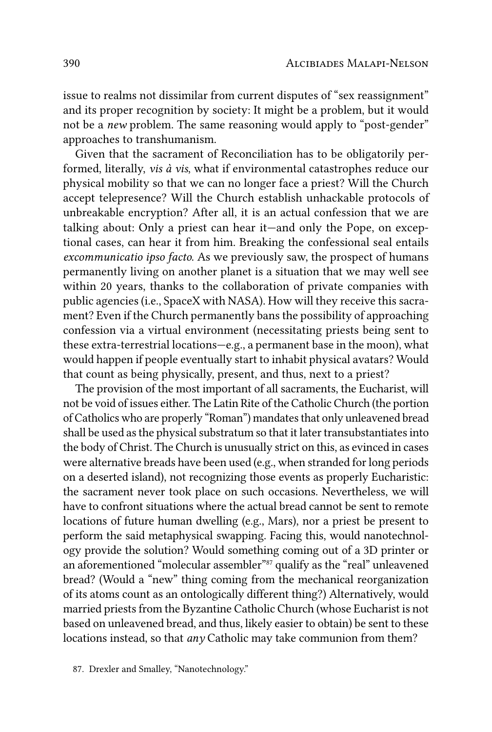issue to realms not dissimilar from current disputes of "sex reassignment" and its proper recognition by society: It might be a problem, but it would not be a *new* problem. The same reasoning would apply to "post-gender" approaches to transhumanism.

Given that the sacrament of Reconciliation has to be obligatorily performed, literally, *vis à vis*, what if environmental catastrophes reduce our physical mobility so that we can no longer face a priest? Will the Church accept telepresence? Will the Church establish unhackable protocols of unbreakable encryption? After all, it is an actual confession that we are talking about: Only a priest can hear it—and only the Pope, on exceptional cases, can hear it from him. Breaking the confessional seal entails *excommunicatio ipso facto*. As we previously saw, the prospect of humans permanently living on another planet is a situation that we may well see within 20 years, thanks to the collaboration of private companies with public agencies (i.e., SpaceX with NASA). How will they receive this sacrament? Even if the Church permanently bans the possibility of approaching confession via a virtual environment (necessitating priests being sent to these extra-terrestrial locations—e.g., a permanent base in the moon), what would happen if people eventually start to inhabit physical avatars? Would that count as being physically, present, and thus, next to a priest?

The provision of the most important of all sacraments, the Eucharist, will not be void of issues either. The Latin Rite of the Catholic Church (the portion of Catholics who are properly "Roman") mandates that only unleavened bread shall be used as the physical substratum so that it later transubstantiates into the body of Christ. The Church is unusually strict on this, as evinced in cases were alternative breads have been used (e.g., when stranded for long periods on a deserted island), not recognizing those events as properly Eucharistic: the sacrament never took place on such occasions. Nevertheless, we will have to confront situations where the actual bread cannot be sent to remote locations of future human dwelling (e.g., Mars), nor a priest be present to perform the said metaphysical swapping. Facing this, would nanotechnology provide the solution? Would something coming out of a 3D printer or an aforementioned "molecular assembler"<sup>87</sup> qualify as the "real" unleavened bread? (Would a "new" thing coming from the mechanical reorganization of its atoms count as an ontologically different thing?) Alternatively, would married priests from the Byzantine Catholic Church (whose Eucharist is not based on unleavened bread, and thus, likely easier to obtain) be sent to these locations instead, so that *any* Catholic may take communion from them?

<sup>87.</sup> Drexler and Smalley, "Nanotechnology."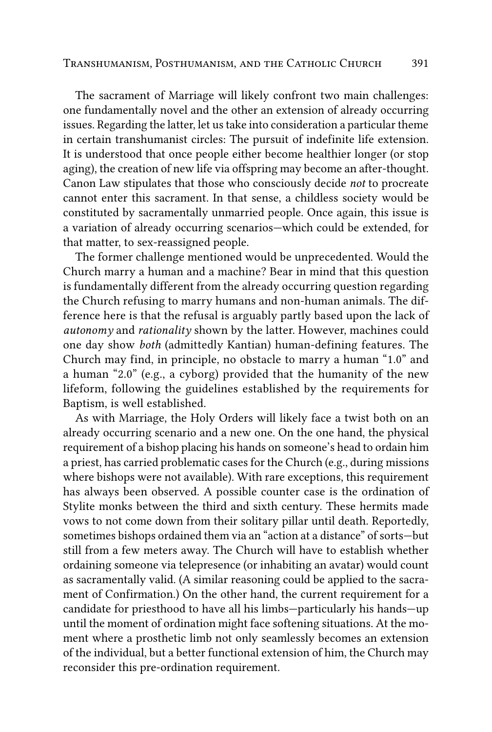The sacrament of Marriage will likely confront two main challenges: one fundamentally novel and the other an extension of already occurring issues. Regarding the latter, let us take into consideration a particular theme in certain transhumanist circles: The pursuit of indefinite life extension. It is understood that once people either become healthier longer (or stop aging), the creation of new life via offspring may become an after-thought. Canon Law stipulates that those who consciously decide *not* to procreate cannot enter this sacrament. In that sense, a childless society would be constituted by sacramentally unmarried people. Once again, this issue is a variation of already occurring scenarios—which could be extended, for that matter, to sex-reassigned people.

The former challenge mentioned would be unprecedented. Would the Church marry a human and a machine? Bear in mind that this question is fundamentally different from the already occurring question regarding the Church refusing to marry humans and non-human animals. The difference here is that the refusal is arguably partly based upon the lack of *autonomy* and *rationality* shown by the latter. However, machines could one day show *both* (admittedly Kantian) human-defining features. The Church may find, in principle, no obstacle to marry a human "1.0" and a human "2.0" (e.g., a cyborg) provided that the humanity of the new lifeform, following the guidelines established by the requirements for Baptism, is well established.

As with Marriage, the Holy Orders will likely face a twist both on an already occurring scenario and a new one. On the one hand, the physical requirement of a bishop placing his hands on someone's head to ordain him a priest, has carried problematic cases for the Church (e.g., during missions where bishops were not available). With rare exceptions, this requirement has always been observed. A possible counter case is the ordination of Stylite monks between the third and sixth century. These hermits made vows to not come down from their solitary pillar until death. Reportedly, sometimes bishops ordained them via an "action at a distance" of sorts—but still from a few meters away. The Church will have to establish whether ordaining someone via telepresence (or inhabiting an avatar) would count as sacramentally valid. (A similar reasoning could be applied to the sacrament of Confirmation.) On the other hand, the current requirement for a candidate for priesthood to have all his limbs—particularly his hands—up until the moment of ordination might face softening situations. At the moment where a prosthetic limb not only seamlessly becomes an extension of the individual, but a better functional extension of him, the Church may reconsider this pre-ordination requirement.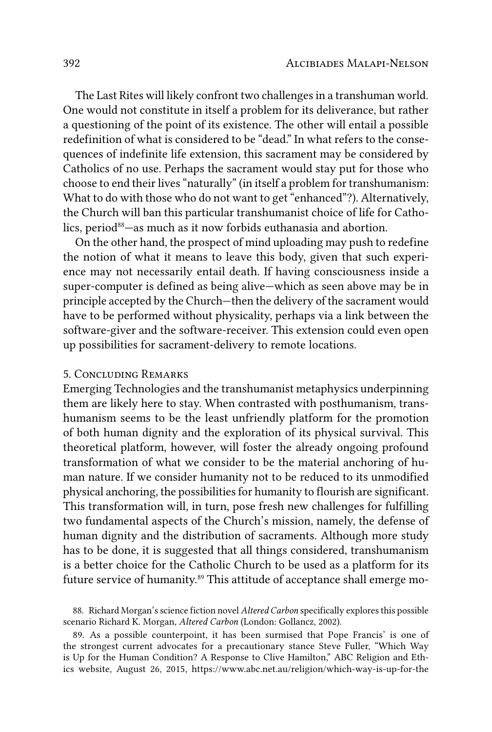The Last Rites will likely confront two challenges in a transhuman world. One would not constitute in itself a problem for its deliverance, but rather a questioning of the point of its existence. The other will entail a possible redefinition of what is considered to be "dead." In what refers to the consequences of indefinite life extension, this sacrament may be considered by Catholics of no use. Perhaps the sacrament would stay put for those who choose to end their lives "naturally" (in itself a problem for transhumanism: What to do with those who do not want to get "enhanced"?). Alternatively, the Church will ban this particular transhumanist choice of life for Catholics, period<sup>88</sup>—as much as it now forbids euthanasia and abortion.

On the other hand, the prospect of mind uploading may push to redefine the notion of what it means to leave this body, given that such experience may not necessarily entail death. If having consciousness inside a super-computer is defined as being alive—which as seen above may be in principle accepted by the Church—then the delivery of the sacrament would have to be performed without physicality, perhaps via a link between the software-giver and the software-receiver. This extension could even open up possibilities for sacrament-delivery to remote locations.

### 5. Concluding Remarks

Emerging Technologies and the transhumanist metaphysics underpinning them are likely here to stay. When contrasted with posthumanism, transhumanism seems to be the least unfriendly platform for the promotion of both human dignity and the exploration of its physical survival. This theoretical platform, however, will foster the already ongoing profound transformation of what we consider to be the material anchoring of human nature. If we consider humanity not to be reduced to its unmodified physical anchoring, the possibilities for humanity to flourish are significant. This transformation will, in turn, pose fresh new challenges for fulfilling two fundamental aspects of the Church's mission, namely, the defense of human dignity and the distribution of sacraments. Although more study has to be done, it is suggested that all things considered, transhumanism is a better choice for the Catholic Church to be used as a platform for its future service of humanity.<sup>89</sup> This attitude of acceptance shall emerge mo-

88. Richard Morgan's science fiction novel *Altered Carbon* specifically explores this possible scenario Richard K. Morgan, *Altered Carbon* (London: Gollancz, 2002).

89. As a possible counterpoint, it has been surmised that Pope Francis' is one of the strongest current advocates for a precautionary stance Steve Fuller, "Which Way is Up for the Human Condition? A Response to Clive Hamilton," ABC Religion and Ethics website, August 26, 2015, https://www.abc.net.au/religion/which-way-is-up-for-the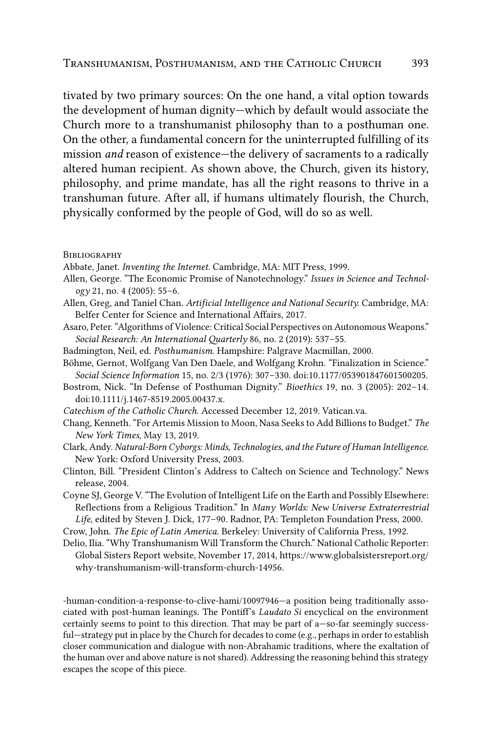tivated by two primary sources: On the one hand, a vital option towards the development of human dignity—which by default would associate the Church more to a transhumanist philosophy than to a posthuman one. On the other, a fundamental concern for the uninterrupted fulfilling of its mission *and* reason of existence—the delivery of sacraments to a radically altered human recipient. As shown above, the Church, given its history, philosophy, and prime mandate, has all the right reasons to thrive in a transhuman future. After all, if humans ultimately flourish, the Church, physically conformed by the people of God, will do so as well.

**BIBLIOGRAPHY** 

Abbate, Janet. *Inventing the Internet*. Cambridge, MA: MIT Press, 1999.

- Allen, George. "The Economic Promise of Nanotechnology." *Issues in Science and Technology* 21, no. 4 (2005): 55–6.
- Allen, Greg, and Taniel Chan. *Artificial Intelligence and National Security.* Cambridge, MA: Belfer Center for Science and International Affairs, 2017.
- Asaro, Peter. "Algorithms of Violence: Critical Social Perspectives on Autonomous Weapons." *Social Research: An International Quarterly* 86, no. 2 (2019): 537–55.
- Badmington, Neil, ed. *Posthumanism*. Hampshire: Palgrave Macmillan, 2000.
- Böhme, Gernot, Wolfgang Van Den Daele, and Wolfgang Krohn. "Finalization in Science." *Social Science Information* 15, no. 2/3 (1976): 307–330. doi:10.1177/053901847601500205.
- Bostrom, Nick. "In Defense of Posthuman Dignity." *Bioethics* 19, no. 3 (2005): 202–14. doi:10.1111/j.1467-8519.2005.00437.x.
- *Catechism of the Catholic Church*. Accessed December 12, 2019. Vatican.va.
- Chang, Kenneth. "For Artemis Mission to Moon, Nasa Seeks to Add Billions to Budget." *The New York Times*, May 13, 2019.
- Clark, Andy. *Natural-Born Cyborgs: Minds, Technologies, and the Future of Human Intelligence.* New York: Oxford University Press, 2003.
- Clinton, Bill. "President Clinton's Address to Caltech on Science and Technology." News release, 2004.
- Coyne SJ, George V. "The Evolution of Intelligent Life on the Earth and Possibly Elsewhere: Reflections from a Religious Tradition." In *Many Worlds: New Universe Extraterrestrial Life*, edited by Steven J. Dick, 177–90. Radnor, PA: Templeton Foundation Press, 2000.
- Crow, John. *The Epic of Latin America.* Berkeley: University of California Press, 1992.
- Delio, Ilia. "Why Transhumanism Will Transform the Church." National Catholic Reporter: Global Sisters Report website, November 17, 2014, https://www.globalsistersreport.org/ why-transhumanism-will-transform-church-14956.

-human-condition-a-response-to-clive-hami/10097946—a position being traditionally associated with post-human leanings. The Pontiff's *Laudato Si* encyclical on the environment certainly seems to point to this direction. That may be part of a—so-far seemingly successful—strategy put in place by the Church for decades to come (e.g., perhaps in order to establish closer communication and dialogue with non-Abrahamic traditions, where the exaltation of the human over and above nature is not shared). Addressing the reasoning behind this strategy escapes the scope of this piece.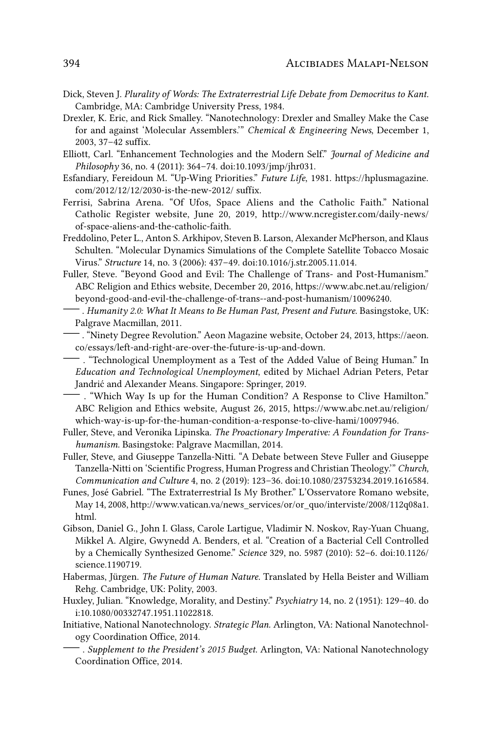- Dick, Steven J. *Plurality of Words: The Extraterrestrial Life Debate from Democritus to Kant.* Cambridge, MA: Cambridge University Press, 1984.
- Drexler, K. Eric, and Rick Smalley. "Nanotechnology: Drexler and Smalley Make the Case for and against 'Molecular Assemblers.'" *Chemical & Engineering News*, December 1, 2003, 37–42 suffix.
- Elliott, Carl. "Enhancement Technologies and the Modern Self." *Journal of Medicine and Philosophy* 36, no. 4 (2011): 364–74. doi:10.1093/jmp/jhr031.
- Esfandiary, Fereidoun M. "Up-Wing Priorities." *Future Life*, 1981. https://hplusmagazine. com/2012/12/12/2030-is-the-new-2012/ suffix.
- Ferrisi, Sabrina Arena. "Of Ufos, Space Aliens and the Catholic Faith." National Catholic Register website, June 20, 2019, http://www.ncregister.com/daily-news/ of-space-aliens-and-the-catholic-faith.
- Freddolino, Peter L., Anton S. Arkhipov, Steven B. Larson, Alexander McPherson, and Klaus Schulten. "Molecular Dynamics Simulations of the Complete Satellite Tobacco Mosaic Virus." *Structure* 14, no. 3 (2006): 437–49. doi:10.1016/j.str.2005.11.014.
- Fuller, Steve. "Beyond Good and Evil: The Challenge of Trans- and Post-Humanism." ABC Religion and Ethics website, December 20, 2016, https://www.abc.net.au/religion/ beyond-good-and-evil-the-challenge-of-trans--and-post-humanism/10096240.
- —. *Humanity 2.0: What It Means to Be Human Past, Present and Future.* Basingstoke, UK: Palgrave Macmillan, 2011.
- —. "Ninety Degree Revolution." Aeon Magazine website, October 24, 2013, https://aeon. co/essays/left-and-right-are-over-the-future-is-up-and-down.

— . "Technological Unemployment as a Test of the Added Value of Being Human." In *Education and Technological Unemployment*, edited by Michael Adrian Peters, Petar Jandrić and Alexander Means. Singapore: Springer, 2019.

— . "Which Way Is up for the Human Condition? A Response to Clive Hamilton." ABC Religion and Ethics website, August 26, 2015, https://www.abc.net.au/religion/ which-way-is-up-for-the-human-condition-a-response-to-clive-hami/10097946.

- Fuller, Steve, and Veronika Lipinska. *The Proactionary Imperative: A Foundation for Transhumanism.* Basingstoke: Palgrave Macmillan, 2014.
- Fuller, Steve, and Giuseppe Tanzella-Nitti. "A Debate between Steve Fuller and Giuseppe Tanzella-Nitti on 'Scientific Progress, Human Progress and Christian Theology.'" *Church, Communication and Culture* 4, no. 2 (2019): 123–36. doi:10.1080/23753234.2019.1616584.
- Funes, José Gabriel. "The Extraterrestrial Is My Brother." L'Osservatore Romano website, May 14, 2008, http://www.vatican.va/news\_services/or/or\_quo/interviste/2008/112q08a1. html.
- Gibson, Daniel G., John I. Glass, Carole Lartigue, Vladimir N. Noskov, Ray-Yuan Chuang, Mikkel A. Algire, Gwynedd A. Benders, et al. "Creation of a Bacterial Cell Controlled by a Chemically Synthesized Genome." *Science* 329, no. 5987 (2010): 52–6. doi:10.1126/ science.1190719.
- Habermas, Jürgen. *The Future of Human Nature.* Translated by Hella Beister and William Rehg. Cambridge, UK: Polity, 2003.
- Huxley, Julian. "Knowledge, Morality, and Destiny." *Psychiatry* 14, no. 2 (1951): 129–40. do i:10.1080/00332747.1951.11022818.
- Initiative, National Nanotechnology. *Strategic Plan.* Arlington, VA: National Nanotechnology Coordination Office, 2014.
	- . *Supplement to the President's 2015 Budget.* Arlington, VA: National Nanotechnology Coordination Office, 2014.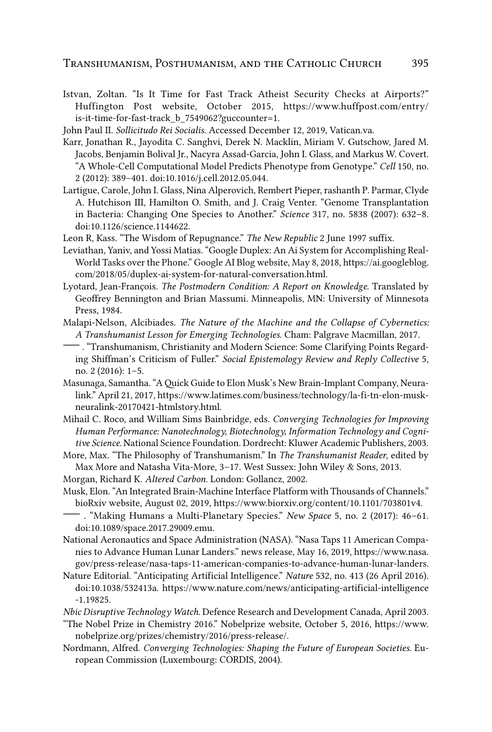- Istvan, Zoltan. "Is It Time for Fast Track Atheist Security Checks at Airports?" Huffington Post website, October 2015, https://www.huffpost.com/entry/ is-it-time-for-fast-track\_b\_7549062?guccounter=1.
- John Paul II. *Sollicitudo Rei Socialis*. Accessed December 12, 2019, Vatican.va.
- Karr, Jonathan R., Jayodita C. Sanghvi, Derek N. Macklin, Miriam V. Gutschow, Jared M. Jacobs, Benjamin Bolival Jr., Nacyra Assad-Garcia, John I. Glass, and Markus W. Covert. "A Whole-Cell Computational Model Predicts Phenotype from Genotype." *Cell* 150, no. 2 (2012): 389–401. doi:10.1016/j.cell.2012.05.044.
- Lartigue, Carole, John I. Glass, Nina Alperovich, Rembert Pieper, rashanth P. Parmar, Clyde A. Hutchison III, Hamilton O. Smith, and J. Craig Venter. "Genome Transplantation in Bacteria: Changing One Species to Another." *Science* 317, no. 5838 (2007): 632–8. doi:10.1126/science.1144622.
- Leon R, Kass. "The Wisdom of Repugnance." *The New Republic* 2 June 1997 suffix.
- Leviathan, Yaniv, and Yossi Matias. "Google Duplex: An Ai System for Accomplishing Real-World Tasks over the Phone." Google AI Blog website, May 8, 2018, https://ai.googleblog. com/2018/05/duplex-ai-system-for-natural-conversation.html.
- Lyotard, Jean-François. *The Postmodern Condition: A Report on Knowledge.* Translated by Geoffrey Bennington and Brian Massumi. Minneapolis, MN: University of Minnesota Press, 1984.
- Malapi-Nelson, Alcibiades. *The Nature of the Machine and the Collapse of Cybernetics: A Transhumanist Lesson for Emerging Technologies.* Cham: Palgrave Macmillan, 2017.
- —. "Transhumanism, Christianity and Modern Science: Some Clarifying Points Regarding Shiffman's Criticism of Fuller." *Social Epistemology Review and Reply Collective* 5, no. 2 (2016): 1–5.
- Masunaga, Samantha. "A Quick Guide to Elon Musk's New Brain-Implant Company, Neuralink." April 21, 2017, https://www.latimes.com/business/technology/la-fi-tn-elon-muskneuralink-20170421-htmlstory.html.
- Mihail C. Roco, and William Sims Bainbridge, eds. *Converging Technologies for Improving Human Performance: Nanotechnology, Biotechnology, Information Technology and Cognitive Science.* National Science Foundation. Dordrecht: Kluwer Academic Publishers, 2003.
- More, Max. "The Philosophy of Transhumanism." In *The Transhumanist Reader*, edited by Max More and Natasha Vita-More, 3–17. West Sussex: John Wiley & Sons, 2013.
- Morgan, Richard K. *Altered Carbon.* London: Gollancz, 2002.
- Musk, Elon. "An Integrated Brain-Machine Interface Platform with Thousands of Channels." bioRxiv website, August 02, 2019, https://www.biorxiv.org/content/10.1101/703801v4.
- . "Making Humans a Multi-Planetary Species." *New Space* 5, no. 2 (2017): 46–61. doi:10.1089/space.2017.29009.emu.
- National Aeronautics and Space Administration (NASA). "Nasa Taps 11 American Companies to Advance Human Lunar Landers." news release, May 16, 2019, https://www.nasa. gov/press-release/nasa-taps-11-american-companies-to-advance-human-lunar-landers.
- Nature Editorial. "Anticipating Artificial Intelligence." *Nature* 532, no. 413 (26 April 2016). doi:10.1038/532413a. https://www.nature.com/news/anticipating-artificial-intelligence -1.19825.
- *Nbic Disruptive Technology Watch.* Defence Research and Development Canada, April 2003.

"The Nobel Prize in Chemistry 2016." Nobelprize website, October 5, 2016, https://www. nobelprize.org/prizes/chemistry/2016/press-release/.

Nordmann, Alfred. *Converging Technologies: Shaping the Future of European Societies.* European Commission (Luxembourg: CORDIS, 2004).